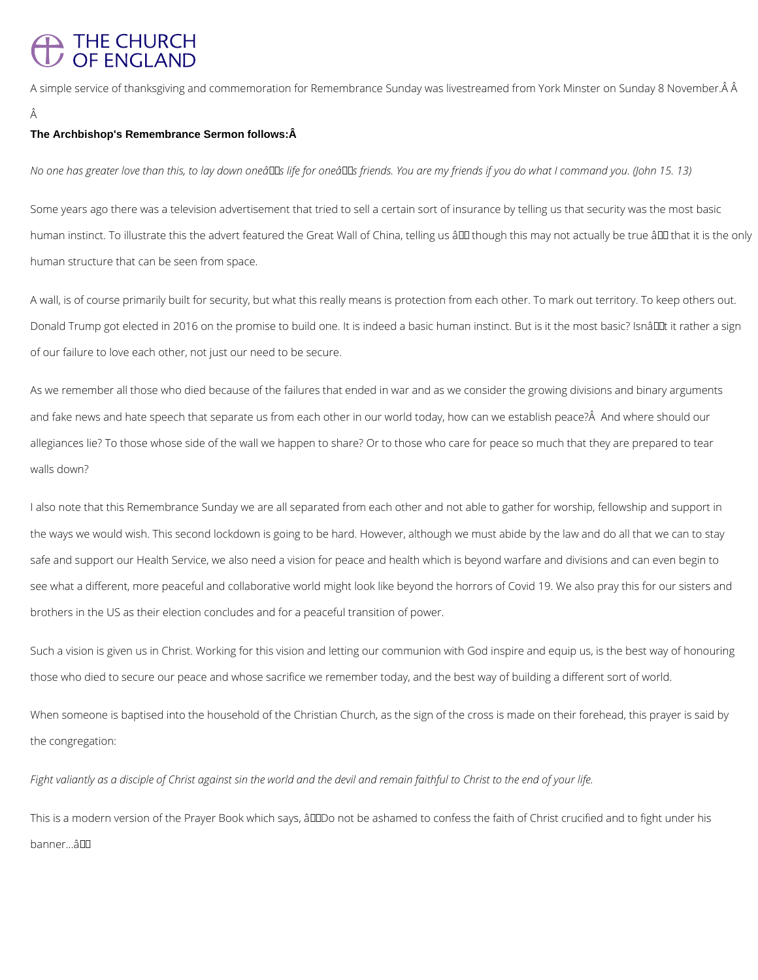# THE CHURCH<br>OF ENGLAND

A simple service of thanksgiving and commemoration for Remembrance Sunday was livestreamed from York Minster on Sunday 8 November. Â

#### **The Archbishop's Remembrance Sermon follows:Â**

*No one has greater love than this, to lay down oneâ* Las life for oneâ Las friends. You are my friends if you do what I command you. (John 15. 13)

Some years ago there was a television advertisement that tried to sell a certain sort of insurance by telling us that security was the most basic human instinct. To illustrate this the advert featured the Great Wall of China, telling us â ll though this may not actually be true â ll that it is the only human structure that can be seen from space.

A wall, is of course primarily built for security, but what this really means is protection from each other. To mark out territory. To keep others out. Donald Trump got elected in 2016 on the promise to build one. It is indeed a basic human instinct. But is it the most basic? Isnâuut it rather a sign of our failure to love each other, not just our need to be secure.

As we remember all those who died because of the failures that ended in war and as we consider the growing divisions and binary arguments and fake news and hate speech that separate us from each other in our world today, how can we establish peace? A And where should our allegiances lie? To those whose side of the wall we happen to share? Or to those who care for peace so much that they are prepared to tear walls down?

I also note that this Remembrance Sunday we are all separated from each other and not able to gather for worship, fellowship and support in the ways we would wish. This second lockdown is going to be hard. However, although we must abide by the law and do all that we can to stay safe and support our Health Service, we also need a vision for peace and health which is beyond warfare and divisions and can even begin to see what a different, more peaceful and collaborative world might look like beyond the horrors of Covid 19. We also pray this for our sisters and brothers in the US as their election concludes and for a peaceful transition of power.

Such a vision is given us in Christ. Working for this vision and letting our communion with God inspire and equip us, is the best way of honouring those who died to secure our peace and whose sacrifice we remember today, and the best way of building a different sort of world.

When someone is baptised into the household of the Christian Church, as the sign of the cross is made on their forehead, this prayer is said by

*Fight valiantly as a disciple of Christ against sin the world and the devil and remain faithful to Christ to the end of your life.*

This is a modern version of the Prayer Book which says, âDDDo not be ashamed to confess the faith of Christ crucified and to fight under his

banner... a<sup>II</sup>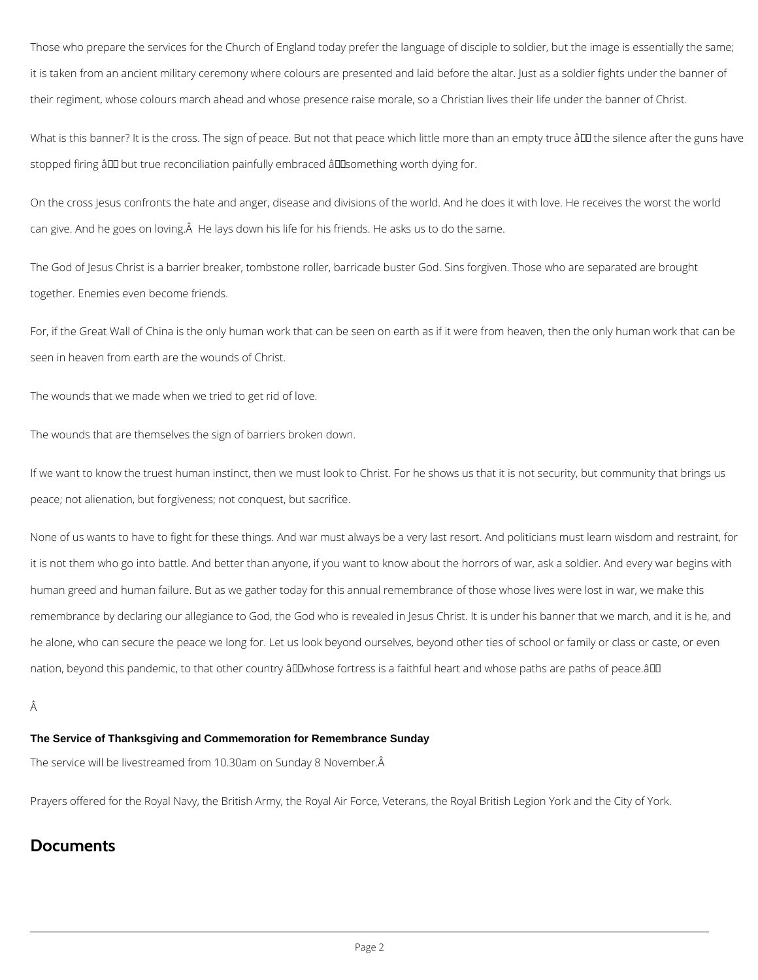Those who prepare the services for the Church of England today prefer the language of disciple to soldier, but the image is essentially the same; it is taken from an ancient military ceremony where colours are presented and laid before the altar. Just as a soldier fights under the banner of their regiment, whose colours march ahead and whose presence raise morale, so a Christian lives their life under the banner of Christ.

What is this banner? It is the cross. The sign of peace. But not that peace which little more than an empty truce â III the silence after the guns have stopped firing ând but true reconciliation painfully embraced ând something worth dying for.

On the cross Jesus confronts the hate and anger, disease and divisions of the world. And he does it with love. He receives the worst the world can give. And he goes on loving. A He lays down his life for his friends. He asks us to do the same.

None of us wants to have to fight for these things. And war must always be a very last resort. And politicians must learn wisdom and restraint, for it is not them who go into battle. And better than anyone, if you want to know about the horrors of war, ask a soldier. And every war begins with human greed and human failure. But as we gather today for this annual remembrance of those whose lives were lost in war, we make this remembrance by declaring our allegiance to God, the God who is revealed in Jesus Christ. It is under his banner that we march, and it is he, and he alone, who can secure the peace we long for. Let us look beyond ourselves, beyond other ties of school or family or class or caste, or even nation, beyond this pandemic, to that other country â DI whose fortress is a faithful heart and whose paths are paths of peace.â DI

The God of Jesus Christ is a barrier breaker, tombstone roller, barricade buster God. Sins forgiven. Those who are separated are brought together. Enemies even become friends.

For, if the Great Wall of China is the only human work that can be seen on earth as if it were from heaven, then the only human work that can be seen in heaven from earth are the wounds of Christ.

The wounds that we made when we tried to get rid of love.

The wounds that are themselves the sign of barriers broken down.

If we want to know the truest human instinct, then we must look to Christ. For he shows us that it is not security, but community that brings us peace; not alienation, but forgiveness; not conquest, but sacrifice.

#### **The Service of Thanksgiving and Commemoration for Remembrance Sunday**

The service will be livestreamed from 10.30am on Sunday 8 November. Â

Prayers offered for the Royal Navy, the British Army, the Royal Air Force, Veterans, the Royal British Legion York and the City of York.

### **Documents**